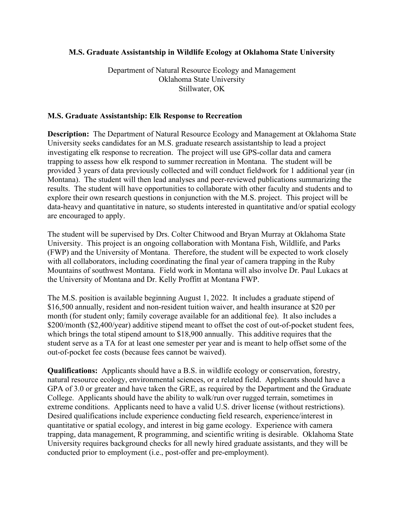## **M.S. Graduate Assistantship in Wildlife Ecology at Oklahoma State University**

Department of Natural Resource Ecology and Management Oklahoma State University Stillwater, OK

## **M.S. Graduate Assistantship: Elk Response to Recreation**

**Description:** The Department of Natural Resource Ecology and Management at Oklahoma State University seeks candidates for an M.S. graduate research assistantship to lead a project investigating elk response to recreation. The project will use GPS-collar data and camera trapping to assess how elk respond to summer recreation in Montana. The student will be provided 3 years of data previously collected and will conduct fieldwork for 1 additional year (in Montana). The student will then lead analyses and peer-reviewed publications summarizing the results. The student will have opportunities to collaborate with other faculty and students and to explore their own research questions in conjunction with the M.S. project. This project will be data-heavy and quantitative in nature, so students interested in quantitative and/or spatial ecology are encouraged to apply.

The student will be supervised by Drs. Colter Chitwood and Bryan Murray at Oklahoma State University. This project is an ongoing collaboration with Montana Fish, Wildlife, and Parks (FWP) and the University of Montana. Therefore, the student will be expected to work closely with all collaborators, including coordinating the final year of camera trapping in the Ruby Mountains of southwest Montana. Field work in Montana will also involve Dr. Paul Lukacs at the University of Montana and Dr. Kelly Proffitt at Montana FWP.

The M.S. position is available beginning August 1, 2022. It includes a graduate stipend of \$16,500 annually, resident and non-resident tuition waiver, and health insurance at \$20 per month (for student only; family coverage available for an additional fee). It also includes a \$200/month (\$2,400/year) additive stipend meant to offset the cost of out-of-pocket student fees, which brings the total stipend amount to \$18,900 annually. This additive requires that the student serve as a TA for at least one semester per year and is meant to help offset some of the out‐of‐pocket fee costs (because fees cannot be waived).

**Qualifications:** Applicants should have a B.S. in wildlife ecology or conservation, forestry, natural resource ecology, environmental sciences, or a related field. Applicants should have a GPA of 3.0 or greater and have taken the GRE, as required by the Department and the Graduate College. Applicants should have the ability to walk/run over rugged terrain, sometimes in extreme conditions. Applicants need to have a valid U.S. driver license (without restrictions). Desired qualifications include experience conducting field research, experience/interest in quantitative or spatial ecology, and interest in big game ecology. Experience with camera trapping, data management, R programming, and scientific writing is desirable. Oklahoma State University requires background checks for all newly hired graduate assistants, and they will be conducted prior to employment (i.e., post-offer and pre-employment).